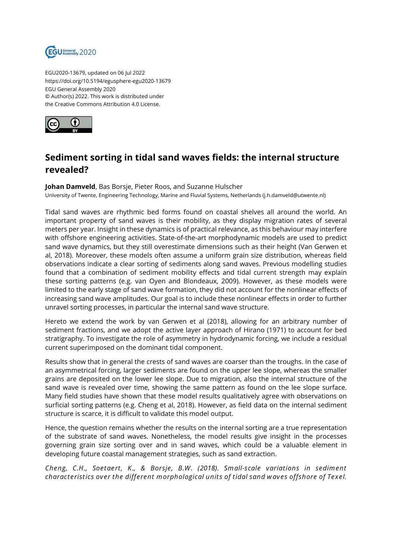

EGU2020-13679, updated on 06 Jul 2022 https://doi.org/10.5194/egusphere-egu2020-13679 EGU General Assembly 2020 © Author(s) 2022. This work is distributed under the Creative Commons Attribution 4.0 License.



## **Sediment sorting in tidal sand waves fields: the internal structure revealed?**

## **Johan Damveld**, Bas Borsje, Pieter Roos, and Suzanne Hulscher

University of Twente, Engineering Technology, Marine and Fluvial Systems, Netherlands (j.h.damveld@utwente.nl)

Tidal sand waves are rhythmic bed forms found on coastal shelves all around the world. An important property of sand waves is their mobility, as they display migration rates of several meters per year. Insight in these dynamics is of practical relevance, as this behaviour may interfere with offshore engineering activities. State-of-the-art morphodynamic models are used to predict sand wave dynamics, but they still overestimate dimensions such as their height (Van Gerwen et al, 2018). Moreover, these models often assume a uniform grain size distribution, whereas field observations indicate a clear sorting of sediments along sand waves. Previous modelling studies found that a combination of sediment mobility effects and tidal current strength may explain these sorting patterns (e.g. van Oyen and Blondeaux, 2009). However, as these models were limited to the early stage of sand wave formation, they did not account for the nonlinear effects of increasing sand wave amplitudes. Our goal is to include these nonlinear effects in order to further unravel sorting processes, in particular the internal sand wave structure.

Hereto we extend the work by van Gerwen et al (2018), allowing for an arbitrary number of sediment fractions, and we adopt the active layer approach of Hirano (1971) to account for bed stratigraphy. To investigate the role of asymmetry in hydrodynamic forcing, we include a residual current superimposed on the dominant tidal component.

Results show that in general the crests of sand waves are coarser than the troughs. In the case of an asymmetrical forcing, larger sediments are found on the upper lee slope, whereas the smaller grains are deposited on the lower lee slope. Due to migration, also the internal structure of the sand wave is revealed over time, showing the same pattern as found on the lee slope surface. Many field studies have shown that these model results qualitatively agree with observations on surficial sorting patterns (e.g. Cheng et al, 2018). However, as field data on the internal sediment structure is scarce, it is difficult to validate this model output.

Hence, the question remains whether the results on the internal sorting are a true representation of the substrate of sand waves. Nonetheless, the model results give insight in the processes governing grain size sorting over and in sand waves, which could be a valuable element in developing future coastal management strategies, such as sand extraction.

*Cheng, C.H., Soetaert, K., & Borsje, B.W. (2018). Small-scale variations in sediment characteristics over the different morphological units of tidal sand waves offshore of Texel.*